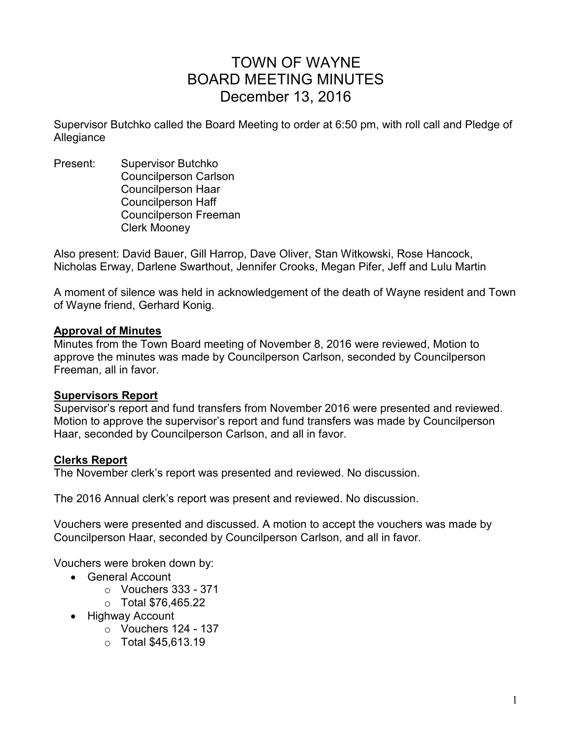# TOWN OF WAYNE BOARD MEETING MINUTES December 13, 2016

Supervisor Butchko called the Board Meeting to order at 6:50 pm, with roll call and Pledge of Allegiance

Present: Supervisor Butchko Councilperson Carlson Councilperson Haar Councilperson Haff Councilperson Freeman Clerk Mooney

Also present: David Bauer, Gill Harrop, Dave Oliver, Stan Witkowski, Rose Hancock, Nicholas Erway, Darlene Swarthout, Jennifer Crooks, Megan Pifer, Jeff and Lulu Martin

A moment of silence was held in acknowledgement of the death of Wayne resident and Town of Wayne friend, Gerhard Konig.

#### **Approval of Minutes**

Minutes from the Town Board meeting of November 8, 2016 were reviewed, Motion to approve the minutes was made by Councilperson Carlson, seconded by Councilperson Freeman, all in favor.

# **Supervisors Report**

Supervisor's report and fund transfers from November 2016 were presented and reviewed. Motion to approve the supervisor's report and fund transfers was made by Councilperson Haar, seconded by Councilperson Carlson, and all in favor.

# **Clerks Report**

The November clerk's report was presented and reviewed. No discussion.

The 2016 Annual clerk's report was present and reviewed. No discussion.

Vouchers were presented and discussed. A motion to accept the vouchers was made by Councilperson Haar, seconded by Councilperson Carlson, and all in favor.

Vouchers were broken down by:

- General Account
	- $\circ$  Vouchers 333 371
	- o Total \$76,465.22
- Highway Account
	- $\circ$  Vouchers 124 137
	- o Total \$45,613.19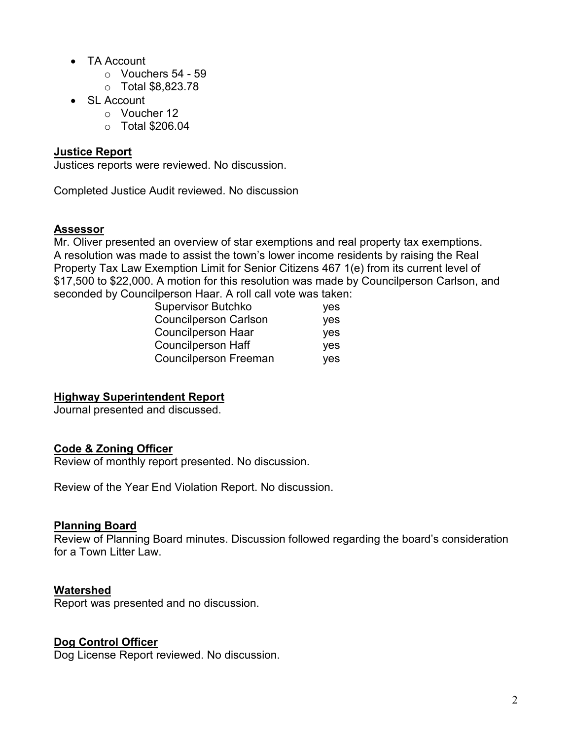- TA Account
	- o Vouchers 54 59
	- o Total \$8,823.78
- SL Account
	- o Voucher 12
	- o Total \$206.04

### **Justice Report**

Justices reports were reviewed. No discussion.

Completed Justice Audit reviewed. No discussion

#### **Assessor**

Mr. Oliver presented an overview of star exemptions and real property tax exemptions. A resolution was made to assist the town's lower income residents by raising the Real Property Tax Law Exemption Limit for Senior Citizens 467 1(e) from its current level of \$17,500 to \$22,000. A motion for this resolution was made by Councilperson Carlson, and seconded by Councilperson Haar. A roll call vote was taken:

|  | <b>Supervisor Butchko</b>    | <b>ves</b> |
|--|------------------------------|------------|
|  | <b>Councilperson Carlson</b> | <b>ves</b> |
|  | <b>Councilperson Haar</b>    | <b>ves</b> |
|  | <b>Councilperson Haff</b>    | <b>ves</b> |
|  | <b>Councilperson Freeman</b> | <b>ves</b> |

# **Highway Superintendent Report**

Journal presented and discussed.

#### **Code & Zoning Officer**

Review of monthly report presented. No discussion.

Review of the Year End Violation Report. No discussion.

#### **Planning Board**

Review of Planning Board minutes. Discussion followed regarding the board's consideration for a Town Litter Law.

#### **Watershed**

Report was presented and no discussion.

# **Dog Control Officer**

Dog License Report reviewed. No discussion.